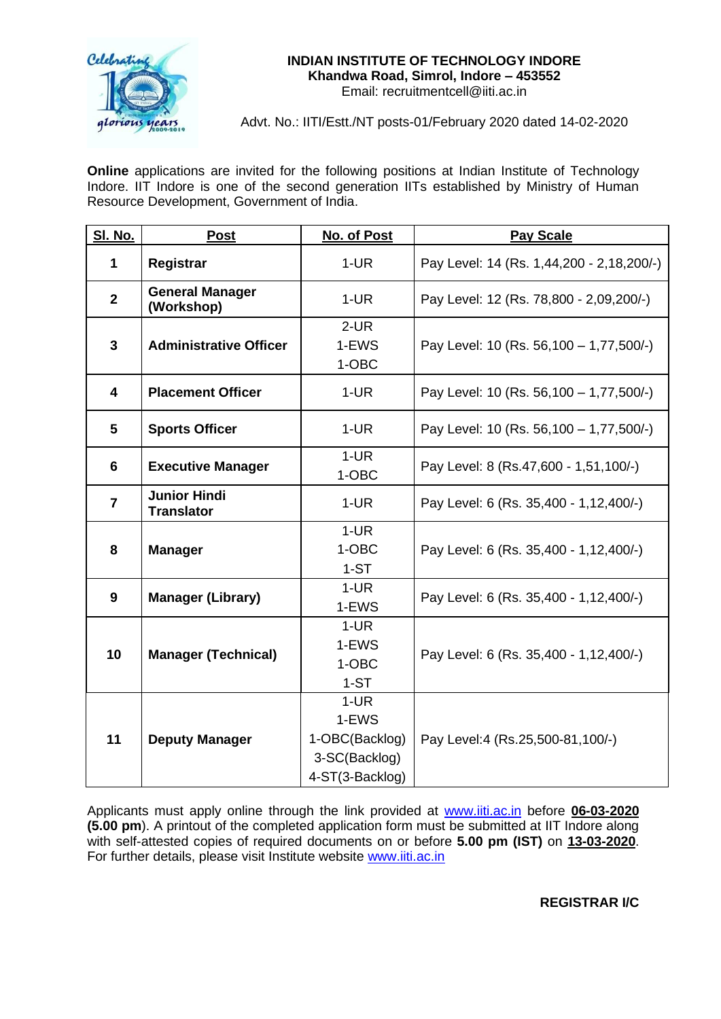

### **INDIAN INSTITUTE OF TECHNOLOGY INDORE Khandwa Road, Simrol, Indore – 453552** Email: recruitmentcell@iiti.ac.in

Advt. No.: IITI/Estt./NT posts-01/February 2020 dated 14-02-2020

**Online** applications are invited for the following positions at Indian Institute of Technology Indore. IIT Indore is one of the second generation IITs established by Ministry of Human Resource Development, Government of India.

| <b>SI. No.</b>          | <b>Post</b>                              | No. of Post                                                           | <b>Pay Scale</b>                          |
|-------------------------|------------------------------------------|-----------------------------------------------------------------------|-------------------------------------------|
| 1                       | Registrar                                | $1-UR$                                                                | Pay Level: 14 (Rs. 1,44,200 - 2,18,200/-) |
| $\overline{2}$          | <b>General Manager</b><br>(Workshop)     | $1-UR$                                                                | Pay Level: 12 (Rs. 78,800 - 2,09,200/-)   |
| 3                       | <b>Administrative Officer</b>            | $2$ -UR<br>1-EWS<br>1-OBC                                             | Pay Level: 10 (Rs. 56,100 - 1,77,500/-)   |
| $\overline{\mathbf{4}}$ | <b>Placement Officer</b>                 | $1-UR$                                                                | Pay Level: 10 (Rs. 56,100 - 1,77,500/-)   |
| 5                       | <b>Sports Officer</b>                    | $1-UR$                                                                | Pay Level: 10 (Rs. 56,100 - 1,77,500/-)   |
| 6                       | <b>Executive Manager</b>                 | $1-UR$<br>1-OBC                                                       | Pay Level: 8 (Rs.47,600 - 1,51,100/-)     |
| $\overline{7}$          | <b>Junior Hindi</b><br><b>Translator</b> | $1-UR$                                                                | Pay Level: 6 (Rs. 35,400 - 1,12,400/-)    |
| 8                       | <b>Manager</b>                           | $1-UR$<br>1-OBC<br>$1-ST$                                             | Pay Level: 6 (Rs. 35,400 - 1,12,400/-)    |
| 9                       | <b>Manager (Library)</b>                 | $1-UR$<br>1-EWS                                                       | Pay Level: 6 (Rs. 35,400 - 1,12,400/-)    |
| 10                      | <b>Manager (Technical)</b>               | $1-UR$<br>1-EWS<br>1-OBC<br>$1-ST$                                    | Pay Level: 6 (Rs. 35,400 - 1,12,400/-)    |
| 11                      | <b>Deputy Manager</b>                    | $1-UR$<br>1-EWS<br>1-OBC(Backlog)<br>3-SC(Backlog)<br>4-ST(3-Backlog) | Pay Level:4 (Rs.25,500-81,100/-)          |

Applicants must apply online through the link provided at [www.iiti.ac.in](http://www.iiti.ac.in/) before **06-03-2020 (5.00 pm**). A printout of the completed application form must be submitted at IIT Indore along with self-attested copies of required documents on or before **5.00 pm (IST)** on **13-03-2020**. For further details, please visit Institute website [www.iiti.ac.in](http://www.iiti.ac.in/)

**REGISTRAR I/C**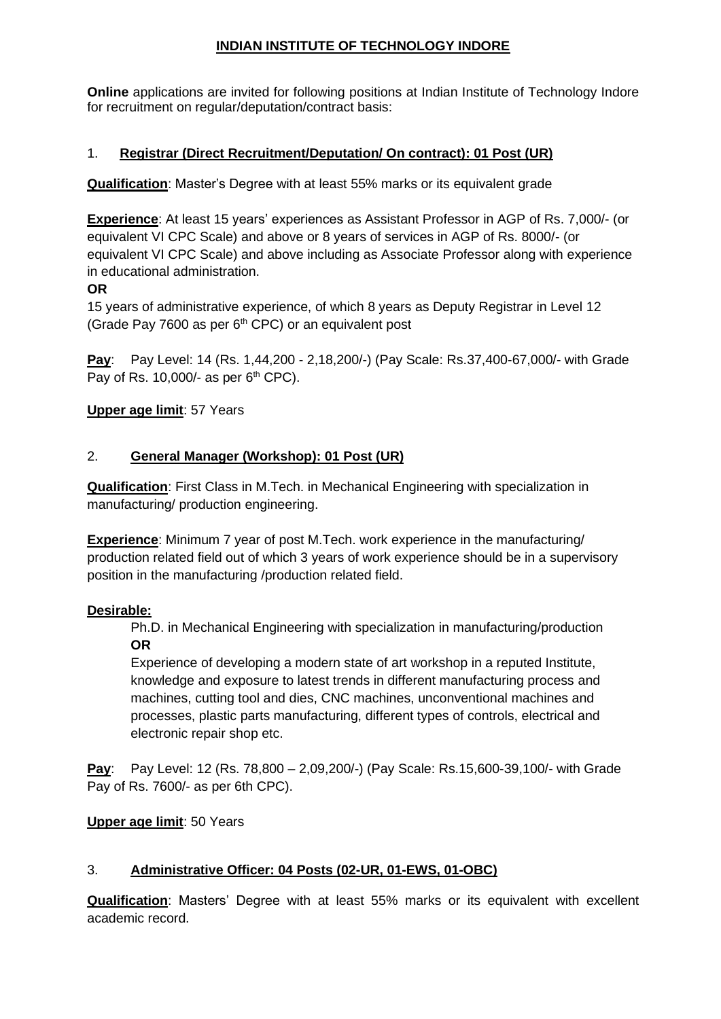# **INDIAN INSTITUTE OF TECHNOLOGY INDORE**

**Online** applications are invited for following positions at Indian Institute of Technology Indore for recruitment on regular/deputation/contract basis:

# 1. **Registrar (Direct Recruitment/Deputation/ On contract): 01 Post (UR)**

**Qualification**: Master's Degree with at least 55% marks or its equivalent grade

**Experience**: At least 15 years' experiences as Assistant Professor in AGP of Rs. 7,000/- (or equivalent VI CPC Scale) and above or 8 years of services in AGP of Rs. 8000/- (or equivalent VI CPC Scale) and above including as Associate Professor along with experience in educational administration.

# **OR**

15 years of administrative experience, of which 8 years as Deputy Registrar in Level 12 (Grade Pay 7600 as per  $6<sup>th</sup>$  CPC) or an equivalent post

**Pay**: Pay Level: 14 (Rs. 1,44,200 - 2,18,200/-) (Pay Scale: Rs.37,400-67,000/- with Grade Pay of Rs. 10,000/- as per  $6<sup>th</sup>$  CPC).

# **Upper age limit**: 57 Years

## 2. **General Manager (Workshop): 01 Post (UR)**

**Qualification**: First Class in M.Tech. in Mechanical Engineering with specialization in manufacturing/ production engineering.

**Experience**: Minimum 7 year of post M.Tech. work experience in the manufacturing/ production related field out of which 3 years of work experience should be in a supervisory position in the manufacturing /production related field.

# **Desirable:**

Ph.D. in Mechanical Engineering with specialization in manufacturing/production **OR**

Experience of developing a modern state of art workshop in a reputed Institute, knowledge and exposure to latest trends in different manufacturing process and machines, cutting tool and dies, CNC machines, unconventional machines and processes, plastic parts manufacturing, different types of controls, electrical and electronic repair shop etc.

**Pay**: Pay Level: 12 (Rs. 78,800 – 2,09,200/-) (Pay Scale: Rs.15,600-39,100/- with Grade Pay of Rs. 7600/- as per 6th CPC).

# **Upper age limit**: 50 Years

# 3. **Administrative Officer: 04 Posts (02-UR, 01-EWS, 01-OBC)**

**Qualification**: Masters' Degree with at least 55% marks or its equivalent with excellent academic record.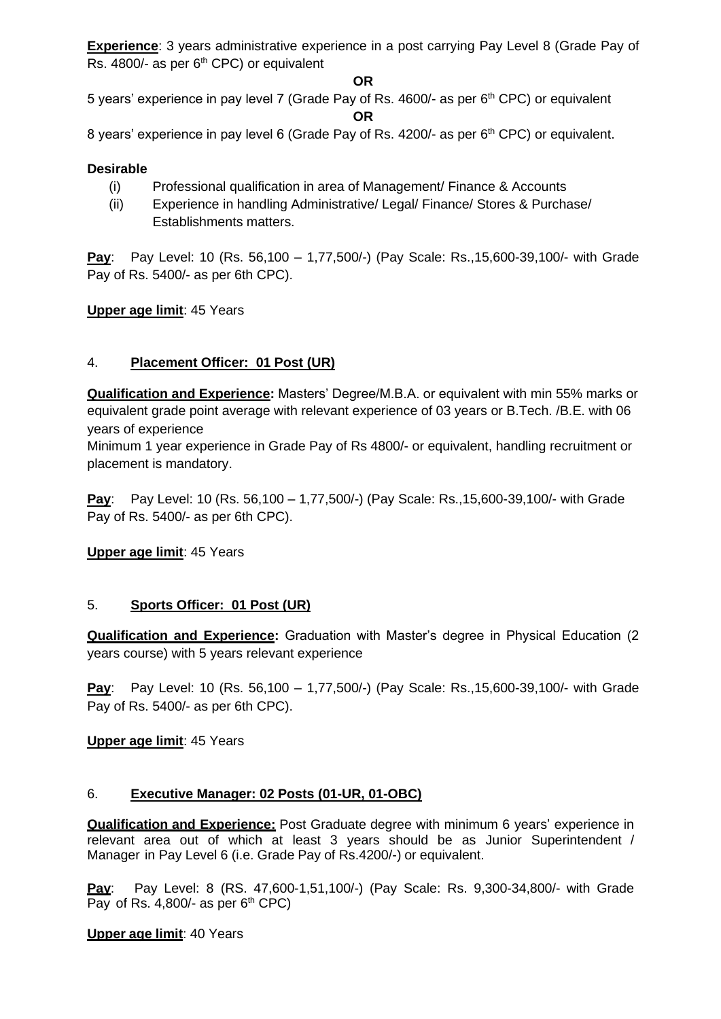**Experience**: 3 years administrative experience in a post carrying Pay Level 8 (Grade Pay of Rs.  $4800/-$  as per  $6<sup>th</sup>$  CPC) or equivalent

### **OR**

5 years' experience in pay level 7 (Grade Pay of Rs. 4600/- as per 6<sup>th</sup> CPC) or equivalent

**OR**

8 years' experience in pay level 6 (Grade Pay of Rs. 4200/- as per 6<sup>th</sup> CPC) or equivalent.

## **Desirable**

- (i) Professional qualification in area of Management/ Finance & Accounts
- (ii) Experience in handling Administrative/ Legal/ Finance/ Stores & Purchase/ Establishments matters.

**Pay**: Pay Level: 10 (Rs. 56,100 – 1,77,500/-) (Pay Scale: Rs.,15,600-39,100/- with Grade Pay of Rs. 5400/- as per 6th CPC).

## **Upper age limit**: 45 Years

## 4. **Placement Officer: 01 Post (UR)**

**Qualification and Experience:** Masters' Degree/M.B.A. or equivalent with min 55% marks or equivalent grade point average with relevant experience of 03 years or B.Tech. /B.E. with 06 years of experience

Minimum 1 year experience in Grade Pay of Rs 4800/- or equivalent, handling recruitment or placement is mandatory.

**Pay**: Pay Level: 10 (Rs. 56,100 – 1,77,500/-) (Pay Scale: Rs.,15,600-39,100/- with Grade Pay of Rs. 5400/- as per 6th CPC).

**Upper age limit**: 45 Years

# 5. **Sports Officer: 01 Post (UR)**

**Qualification and Experience:** Graduation with Master's degree in Physical Education (2 years course) with 5 years relevant experience

**Pay**: Pay Level: 10 (Rs. 56,100 – 1,77,500/-) (Pay Scale: Rs.,15,600-39,100/- with Grade Pay of Rs. 5400/- as per 6th CPC).

**Upper age limit**: 45 Years

# 6. **Executive Manager: 02 Posts (01-UR, 01-OBC)**

**Qualification and Experience:** Post Graduate degree with minimum 6 years' experience in relevant area out of which at least 3 years should be as Junior Superintendent / Manager in Pay Level 6 (i.e. Grade Pay of Rs.4200/-) or equivalent.

**Pay**: Pay Level: 8 (RS. 47,600-1,51,100/-) (Pay Scale: Rs. 9,300-34,800/- with Grade Pay of Rs. 4,800/- as per  $6<sup>th</sup>$  CPC)

**Upper age limit**: 40 Years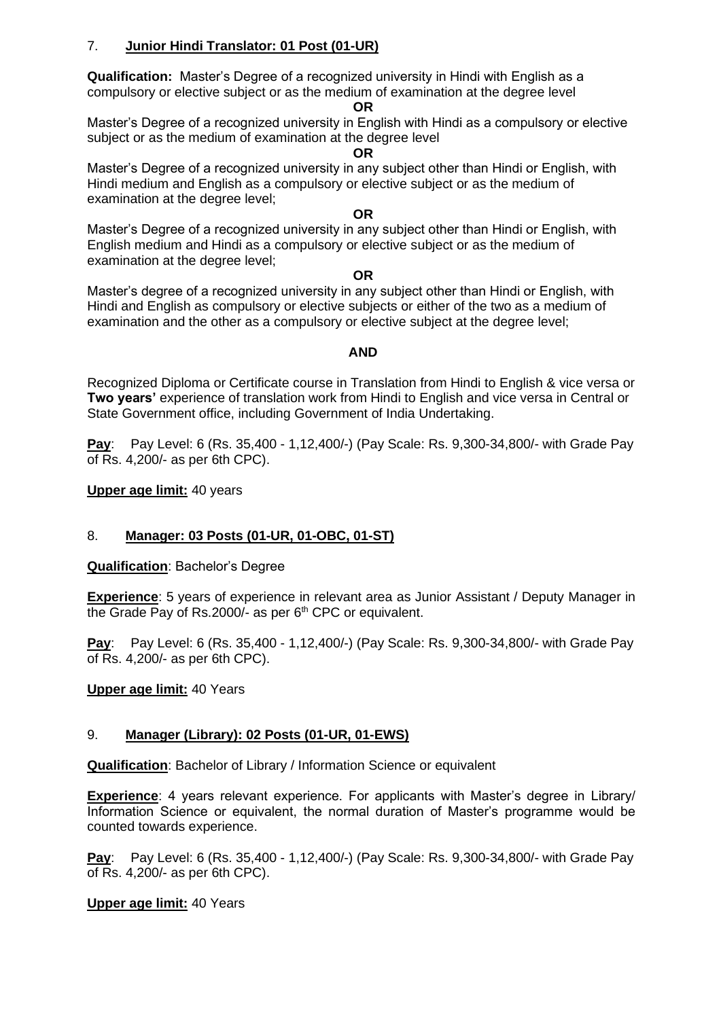## 7. **Junior Hindi Translator: 01 Post (01-UR)**

**Qualification:** Master's Degree of a recognized university in Hindi with English as a compulsory or elective subject or as the medium of examination at the degree level

#### **OR**

Master's Degree of a recognized university in English with Hindi as a compulsory or elective subject or as the medium of examination at the degree level

#### **OR**

Master's Degree of a recognized university in any subject other than Hindi or English, with Hindi medium and English as a compulsory or elective subject or as the medium of examination at the degree level;

#### **OR**

Master's Degree of a recognized university in any subject other than Hindi or English, with English medium and Hindi as a compulsory or elective subject or as the medium of examination at the degree level;

#### **OR**

Master's degree of a recognized university in any subject other than Hindi or English, with Hindi and English as compulsory or elective subjects or either of the two as a medium of examination and the other as a compulsory or elective subject at the degree level;

### **AND**

Recognized Diploma or Certificate course in Translation from Hindi to English & vice versa or **Two years'** experience of translation work from Hindi to English and vice versa in Central or State Government office, including Government of India Undertaking.

**Pay**: Pay Level: 6 (Rs. 35,400 - 1,12,400/-) (Pay Scale: Rs. 9,300-34,800/- with Grade Pay of Rs. 4,200/- as per 6th CPC).

### **Upper age limit:** 40 years

## 8. **Manager: 03 Posts (01-UR, 01-OBC, 01-ST)**

**Qualification**: Bachelor's Degree

**Experience**: 5 years of experience in relevant area as Junior Assistant / Deputy Manager in the Grade Pay of Rs.2000/- as per  $6<sup>th</sup>$  CPC or equivalent.

**Pay**: Pay Level: 6 (Rs. 35,400 - 1,12,400/-) (Pay Scale: Rs. 9,300-34,800/- with Grade Pay of Rs. 4,200/- as per 6th CPC).

### **Upper age limit:** 40 Years

## 9. **Manager (Library): 02 Posts (01-UR, 01-EWS)**

**Qualification**: Bachelor of Library / Information Science or equivalent

**Experience**: 4 years relevant experience. For applicants with Master's degree in Library/ Information Science or equivalent, the normal duration of Master's programme would be counted towards experience.

**Pay**: Pay Level: 6 (Rs. 35,400 - 1,12,400/-) (Pay Scale: Rs. 9,300-34,800/- with Grade Pay of Rs. 4,200/- as per 6th CPC).

## **Upper age limit:** 40 Years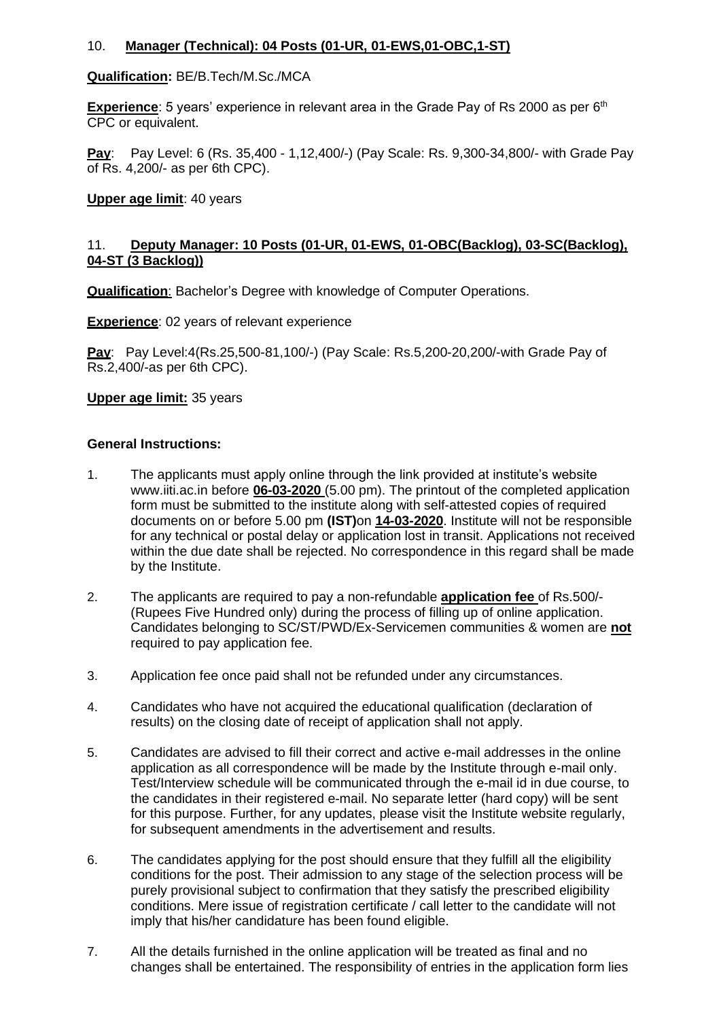## 10. **Manager (Technical): 04 Posts (01-UR, 01-EWS,01-OBC,1-ST)**

### **Qualification:** BE/B.Tech/M.Sc./MCA

**Experience**: 5 years' experience in relevant area in the Grade Pay of Rs 2000 as per 6<sup>th</sup> CPC or equivalent.

**Pay**: Pay Level: 6 (Rs. 35,400 - 1,12,400/-) (Pay Scale: Rs. 9,300-34,800/- with Grade Pay of Rs. 4,200/- as per 6th CPC).

### **Upper age limit**: 40 years

## 11. **Deputy Manager: 10 Posts (01-UR, 01-EWS, 01-OBC(Backlog), 03-SC(Backlog), 04-ST (3 Backlog))**

**Qualification**: Bachelor's Degree with knowledge of Computer Operations.

**Experience:** 02 years of relevant experience

**Pay**: Pay Level:4(Rs.25,500-81,100/-) (Pay Scale: Rs.5,200-20,200/-with Grade Pay of Rs.2,400/-as per 6th CPC).

### **Upper age limit:** 35 years

### **General Instructions:**

- 1. The applicants must apply online through the link provided at institute's website [www.iiti.ac.in](http://www.iiti.ac.in/) before **06-03-2020** (5.00 pm). The printout of the completed application form must be submitted to the institute along with self-attested copies of required documents on or before 5.00 pm **(IST)**on **14-03-2020**. Institute will not be responsible for any technical or postal delay or application lost in transit. Applications not received within the due date shall be rejected. No correspondence in this regard shall be made by the Institute.
- 2. The applicants are required to pay a non-refundable **application fee** of Rs.500/- (Rupees Five Hundred only) during the process of filling up of online application. Candidates belonging to SC/ST/PWD/Ex-Servicemen communities & women are **not** required to pay application fee.
- 3. Application fee once paid shall not be refunded under any circumstances.
- 4. Candidates who have not acquired the educational qualification (declaration of results) on the closing date of receipt of application shall not apply.
- 5. Candidates are advised to fill their correct and active e-mail addresses in the online application as all correspondence will be made by the Institute through e-mail only. Test/Interview schedule will be communicated through the e-mail id in due course, to the candidates in their registered e-mail. No separate letter (hard copy) will be sent for this purpose. Further, for any updates, please visit the Institute website regularly, for subsequent amendments in the advertisement and results.
- 6. The candidates applying for the post should ensure that they fulfill all the eligibility conditions for the post. Their admission to any stage of the selection process will be purely provisional subject to confirmation that they satisfy the prescribed eligibility conditions. Mere issue of registration certificate / call letter to the candidate will not imply that his/her candidature has been found eligible.
- 7. All the details furnished in the online application will be treated as final and no changes shall be entertained. The responsibility of entries in the application form lies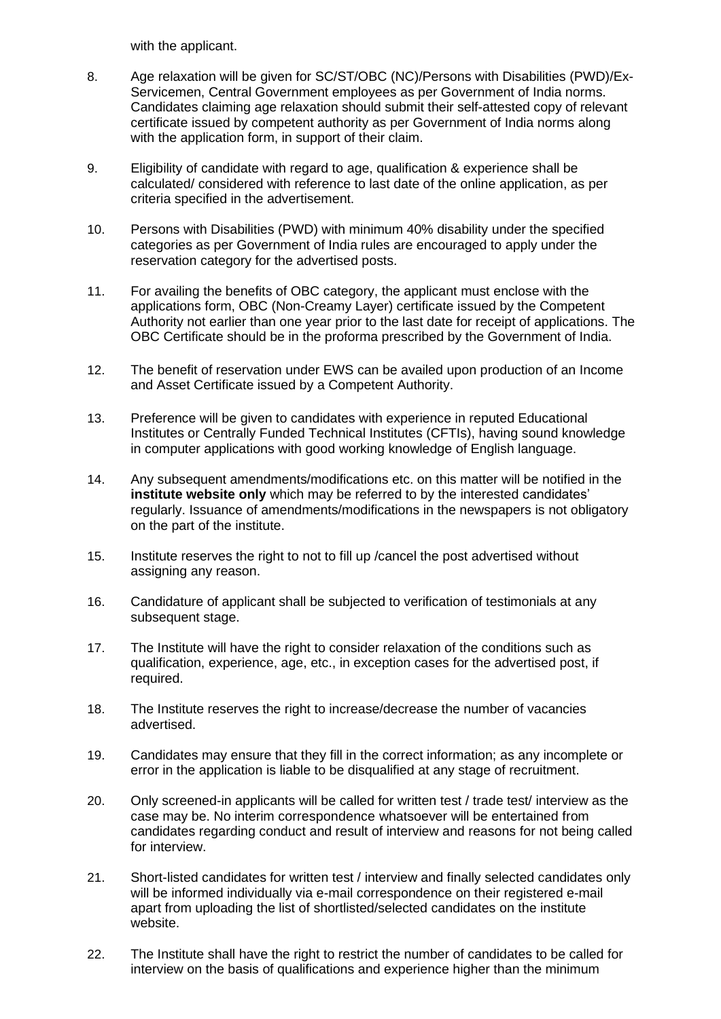with the applicant.

- 8. Age relaxation will be given for SC/ST/OBC (NC)/Persons with Disabilities (PWD)/Ex-Servicemen, Central Government employees as per Government of India norms. Candidates claiming age relaxation should submit their self-attested copy of relevant certificate issued by competent authority as per Government of India norms along with the application form, in support of their claim.
- 9. Eligibility of candidate with regard to age, qualification & experience shall be calculated/ considered with reference to last date of the online application, as per criteria specified in the advertisement.
- 10. Persons with Disabilities (PWD) with minimum 40% disability under the specified categories as per Government of India rules are encouraged to apply under the reservation category for the advertised posts.
- 11. For availing the benefits of OBC category, the applicant must enclose with the applications form, OBC (Non-Creamy Layer) certificate issued by the Competent Authority not earlier than one year prior to the last date for receipt of applications. The OBC Certificate should be in the proforma prescribed by the Government of India.
- 12. The benefit of reservation under EWS can be availed upon production of an Income and Asset Certificate issued by a Competent Authority.
- 13. Preference will be given to candidates with experience in reputed Educational Institutes or Centrally Funded Technical Institutes (CFTIs), having sound knowledge in computer applications with good working knowledge of English language.
- 14. Any subsequent amendments/modifications etc. on this matter will be notified in the **institute website only** which may be referred to by the interested candidates' regularly. Issuance of amendments/modifications in the newspapers is not obligatory on the part of the institute.
- 15. Institute reserves the right to not to fill up /cancel the post advertised without assigning any reason.
- 16. Candidature of applicant shall be subjected to verification of testimonials at any subsequent stage.
- 17. The Institute will have the right to consider relaxation of the conditions such as qualification, experience, age, etc., in exception cases for the advertised post, if required.
- 18. The Institute reserves the right to increase/decrease the number of vacancies advertised.
- 19. Candidates may ensure that they fill in the correct information; as any incomplete or error in the application is liable to be disqualified at any stage of recruitment.
- 20. Only screened-in applicants will be called for written test / trade test/ interview as the case may be. No interim correspondence whatsoever will be entertained from candidates regarding conduct and result of interview and reasons for not being called for interview.
- 21. Short-listed candidates for written test / interview and finally selected candidates only will be informed individually via e-mail correspondence on their registered e-mail apart from uploading the list of shortlisted/selected candidates on the institute website.
- 22. The Institute shall have the right to restrict the number of candidates to be called for interview on the basis of qualifications and experience higher than the minimum